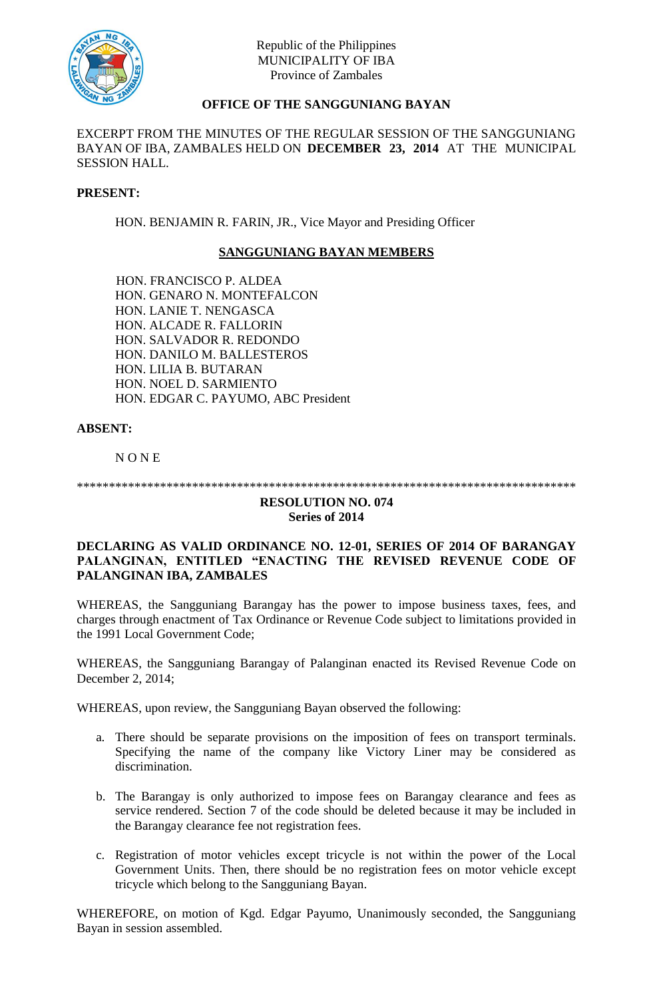

# **OFFICE OF THE SANGGUNIANG BAYAN**

EXCERPT FROM THE MINUTES OF THE REGULAR SESSION OF THE SANGGUNIANG BAYAN OF IBA, ZAMBALES HELD ON **DECEMBER 23, 2014** AT THE MUNICIPAL SESSION HALL.

### **PRESENT:**

HON. BENJAMIN R. FARIN, JR., Vice Mayor and Presiding Officer

## **SANGGUNIANG BAYAN MEMBERS**

HON. FRANCISCO P. ALDEA HON. GENARO N. MONTEFALCON HON. LANIE T. NENGASCA HON. ALCADE R. FALLORIN HON. SALVADOR R. REDONDO HON. DANILO M. BALLESTEROS HON. LILIA B. BUTARAN HON. NOEL D. SARMIENTO HON. EDGAR C. PAYUMO, ABC President

### **ABSENT:**

N O N E

\*\*\*\*\*\*\*\*\*\*\*\*\*\*\*\*\*\*\*\*\*\*\*\*\*\*\*\*\*\*\*\*\*\*\*\*\*\*\*\*\*\*\*\*\*\*\*\*\*\*\*\*\*\*\*\*\*\*\*\*\*\*\*\*\*\*\*\*\*\*\*\*\*\*\*\*\*\*

#### **RESOLUTION NO. 074 Series of 2014**

### **DECLARING AS VALID ORDINANCE NO. 12-01, SERIES OF 2014 OF BARANGAY PALANGINAN, ENTITLED "ENACTING THE REVISED REVENUE CODE OF PALANGINAN IBA, ZAMBALES**

WHEREAS, the Sangguniang Barangay has the power to impose business taxes, fees, and charges through enactment of Tax Ordinance or Revenue Code subject to limitations provided in the 1991 Local Government Code;

WHEREAS, the Sangguniang Barangay of Palanginan enacted its Revised Revenue Code on December 2, 2014;

WHEREAS, upon review, the Sangguniang Bayan observed the following:

- a. There should be separate provisions on the imposition of fees on transport terminals. Specifying the name of the company like Victory Liner may be considered as discrimination.
- b. The Barangay is only authorized to impose fees on Barangay clearance and fees as service rendered. Section 7 of the code should be deleted because it may be included in the Barangay clearance fee not registration fees.
- c. Registration of motor vehicles except tricycle is not within the power of the Local Government Units. Then, there should be no registration fees on motor vehicle except tricycle which belong to the Sangguniang Bayan.

WHEREFORE, on motion of Kgd. Edgar Payumo, Unanimously seconded, the Sangguniang Bayan in session assembled.